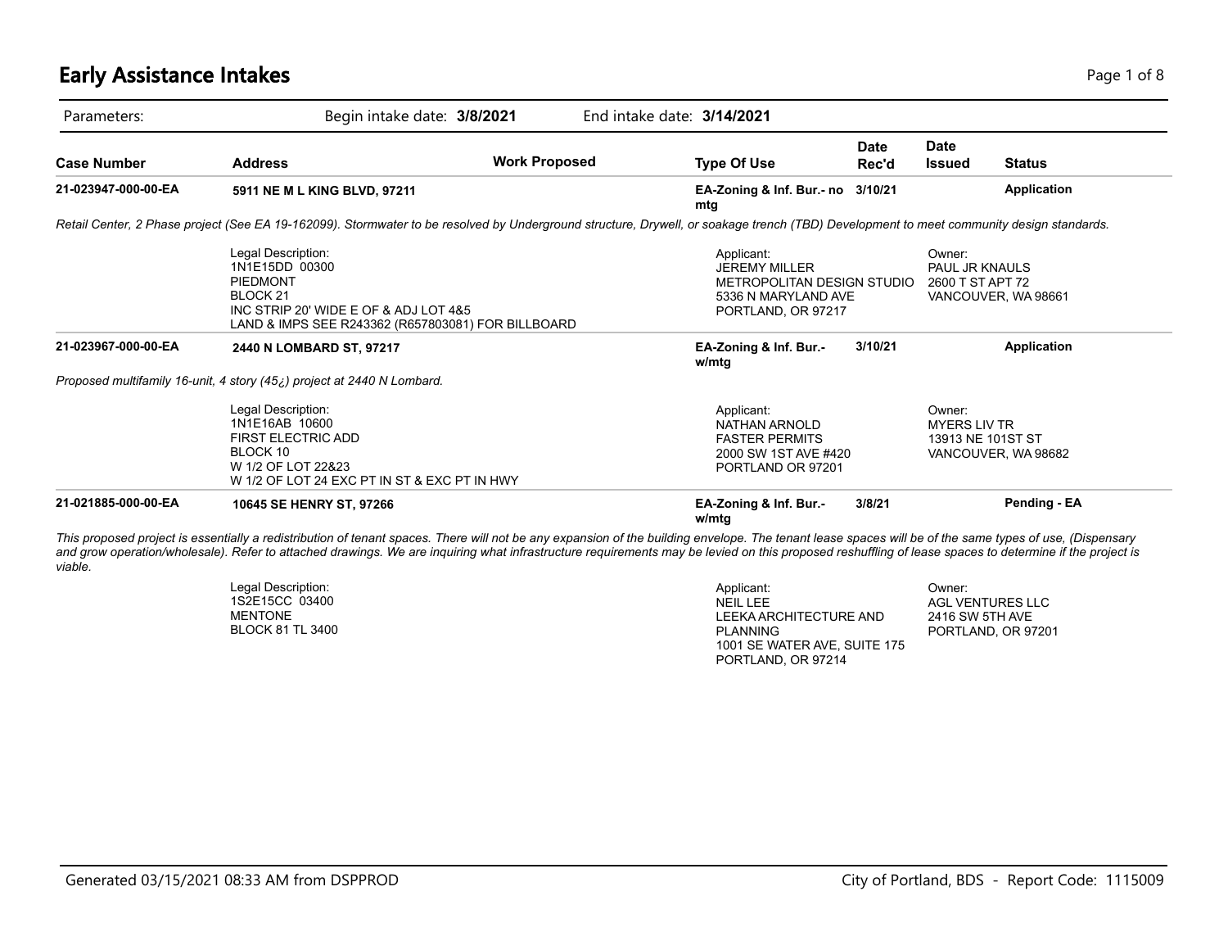# **Early Assistance Intakes** Page 1 of 8

| Parameters:         | Begin intake date: 3/8/2021                                                                                                                                                                                                                                                                                                                                                                                       |                      | End intake date: 3/14/2021                                                                                    |                      |                                                     |                     |
|---------------------|-------------------------------------------------------------------------------------------------------------------------------------------------------------------------------------------------------------------------------------------------------------------------------------------------------------------------------------------------------------------------------------------------------------------|----------------------|---------------------------------------------------------------------------------------------------------------|----------------------|-----------------------------------------------------|---------------------|
| <b>Case Number</b>  | <b>Address</b>                                                                                                                                                                                                                                                                                                                                                                                                    | <b>Work Proposed</b> | <b>Type Of Use</b>                                                                                            | <b>Date</b><br>Rec'd | <b>Date</b><br><b>Issued</b>                        | <b>Status</b>       |
| 21-023947-000-00-EA | 5911 NE M L KING BLVD, 97211                                                                                                                                                                                                                                                                                                                                                                                      |                      | EA-Zoning & Inf. Bur.- no 3/10/21<br>mtg                                                                      |                      |                                                     | Application         |
|                     | Retail Center, 2 Phase project (See EA 19-162099). Stormwater to be resolved by Underground structure, Drywell, or soakage trench (TBD) Development to meet community design standards.                                                                                                                                                                                                                           |                      |                                                                                                               |                      |                                                     |                     |
|                     | Legal Description:<br>1N1E15DD 00300<br><b>PIEDMONT</b><br>BLOCK <sub>21</sub><br>INC STRIP 20' WIDE E OF & ADJ LOT 4&5<br>LAND & IMPS SEE R243362 (R657803081) FOR BILLBOARD                                                                                                                                                                                                                                     |                      | Applicant:<br><b>JEREMY MILLER</b><br>METROPOLITAN DESIGN STUDIO<br>5336 N MARYLAND AVE<br>PORTLAND, OR 97217 |                      | Owner:<br><b>PAUL JR KNAULS</b><br>2600 T ST APT 72 | VANCOUVER, WA 98661 |
| 21-023967-000-00-EA | 2440 N LOMBARD ST, 97217                                                                                                                                                                                                                                                                                                                                                                                          |                      | EA-Zoning & Inf. Bur.-<br>w/mtg                                                                               | 3/10/21              |                                                     | Application         |
|                     | Proposed multifamily 16-unit, 4 story (45;) project at 2440 N Lombard.                                                                                                                                                                                                                                                                                                                                            |                      |                                                                                                               |                      |                                                     |                     |
|                     | Legal Description:<br>1N1E16AB 10600<br><b>FIRST ELECTRIC ADD</b><br>BLOCK 10<br>W 1/2 OF LOT 22&23<br>W 1/2 OF LOT 24 EXC PT IN ST & EXC PT IN HWY                                                                                                                                                                                                                                                               |                      | Applicant:<br>NATHAN ARNOLD<br><b>FASTER PERMITS</b><br>2000 SW 1ST AVE #420<br>PORTLAND OR 97201             |                      | Owner:<br><b>MYERS LIV TR</b><br>13913 NE 101ST ST  | VANCOUVER, WA 98682 |
| 21-021885-000-00-EA | 10645 SE HENRY ST, 97266                                                                                                                                                                                                                                                                                                                                                                                          |                      | EA-Zoning & Inf. Bur.-<br>w/mtg                                                                               | 3/8/21               |                                                     | Pending - EA        |
| viable.             | This proposed project is essentially a redistribution of tenant spaces. There will not be any expansion of the building envelope. The tenant lease spaces will be of the same types of use, (Dispensary<br>and grow operation/wholesale). Refer to attached drawings. We are inquiring what infrastructure requirements may be levied on this proposed reshuffling of lease spaces to determine if the project is |                      |                                                                                                               |                      |                                                     |                     |

| Legal Description: | Applicant:                   | Owner:             |
|--------------------|------------------------------|--------------------|
| 1S2E15CC 03400     | NEIL LEE                     | AGL VENTURES LLC   |
| MENTONE            | LEEKA ARCHITECTURE AND       | 2416 SW 5TH AVE    |
| BLOCK 81 TL 3400   | PLANNING                     | PORTLAND, OR 97201 |
|                    | 1001 SE WATER AVE, SUITE 175 |                    |
|                    | PORTLAND, OR 97214           |                    |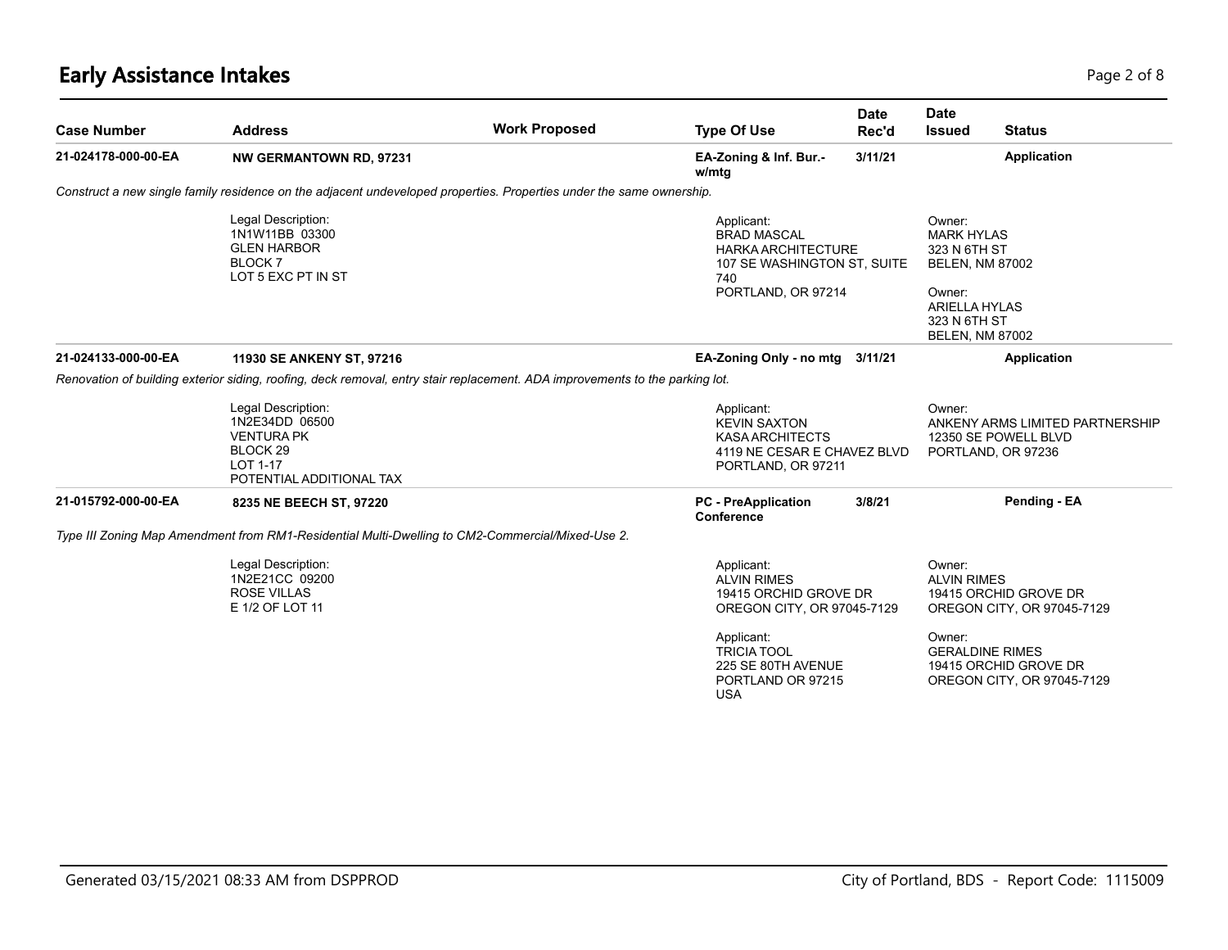# **Early Assistance Intakes** Page 2 of 8

| <b>Case Number</b>  | <b>Address</b>                                                                                                               | <b>Work Proposed</b> | <b>Type Of Use</b>                                                                                                        | <b>Date</b><br>Rec'd | <b>Date</b><br><b>Issued</b>                                                                                                                      | <b>Status</b>                                                                 |
|---------------------|------------------------------------------------------------------------------------------------------------------------------|----------------------|---------------------------------------------------------------------------------------------------------------------------|----------------------|---------------------------------------------------------------------------------------------------------------------------------------------------|-------------------------------------------------------------------------------|
| 21-024178-000-00-EA | <b>NW GERMANTOWN RD, 97231</b>                                                                                               |                      | EA-Zoning & Inf. Bur.-<br>w/mtg                                                                                           | 3/11/21              |                                                                                                                                                   | Application                                                                   |
|                     | Construct a new single family residence on the adjacent undeveloped properties. Properties under the same ownership.         |                      |                                                                                                                           |                      |                                                                                                                                                   |                                                                               |
|                     | Legal Description:<br>1N1W11BB 03300<br><b>GLEN HARBOR</b><br>BLOCK 7<br>LOT 5 EXC PT IN ST                                  |                      | Applicant:<br><b>BRAD MASCAL</b><br><b>HARKA ARCHITECTURE</b><br>107 SE WASHINGTON ST, SUITE<br>740<br>PORTLAND, OR 97214 |                      | Owner:<br><b>MARK HYLAS</b><br>323 N 6TH ST<br><b>BELEN, NM 87002</b><br>Owner:<br><b>ARIELLA HYLAS</b><br>323 N 6TH ST<br><b>BELEN, NM 87002</b> |                                                                               |
| 21-024133-000-00-EA | 11930 SE ANKENY ST, 97216                                                                                                    |                      | EA-Zoning Only - no mtg 3/11/21                                                                                           |                      |                                                                                                                                                   | Application                                                                   |
|                     | Renovation of building exterior siding, roofing, deck removal, entry stair replacement. ADA improvements to the parking lot. |                      |                                                                                                                           |                      |                                                                                                                                                   |                                                                               |
|                     | Legal Description:<br>1N2E34DD 06500<br><b>VENTURA PK</b><br>BLOCK <sub>29</sub><br>LOT 1-17<br>POTENTIAL ADDITIONAL TAX     |                      | Applicant:<br><b>KEVIN SAXTON</b><br><b>KASA ARCHITECTS</b><br>4119 NE CESAR E CHAVEZ BLVD<br>PORTLAND, OR 97211          |                      | Owner:                                                                                                                                            | ANKENY ARMS LIMITED PARTNERSHIP<br>12350 SE POWELL BLVD<br>PORTLAND, OR 97236 |
| 21-015792-000-00-EA | 8235 NE BEECH ST, 97220                                                                                                      |                      | <b>PC</b> - PreApplication<br>Conference                                                                                  | 3/8/21               |                                                                                                                                                   | Pending - EA                                                                  |
|                     | Type III Zoning Map Amendment from RM1-Residential Multi-Dwelling to CM2-Commercial/Mixed-Use 2.                             |                      |                                                                                                                           |                      |                                                                                                                                                   |                                                                               |
|                     | Legal Description:<br>1N2E21CC 09200<br><b>ROSE VILLAS</b><br>E 1/2 OF LOT 11                                                |                      | Applicant:<br><b>ALVIN RIMES</b><br>19415 ORCHID GROVE DR<br>OREGON CITY, OR 97045-7129                                   |                      | Owner:<br><b>ALVIN RIMES</b>                                                                                                                      | 19415 ORCHID GROVE DR<br>OREGON CITY, OR 97045-7129                           |
|                     |                                                                                                                              |                      | Applicant:<br><b>TRICIA TOOL</b><br>225 SE 80TH AVENUE<br>PORTLAND OR 97215<br><b>USA</b>                                 |                      | Owner:<br><b>GERALDINE RIMES</b>                                                                                                                  | 19415 ORCHID GROVE DR<br>OREGON CITY, OR 97045-7129                           |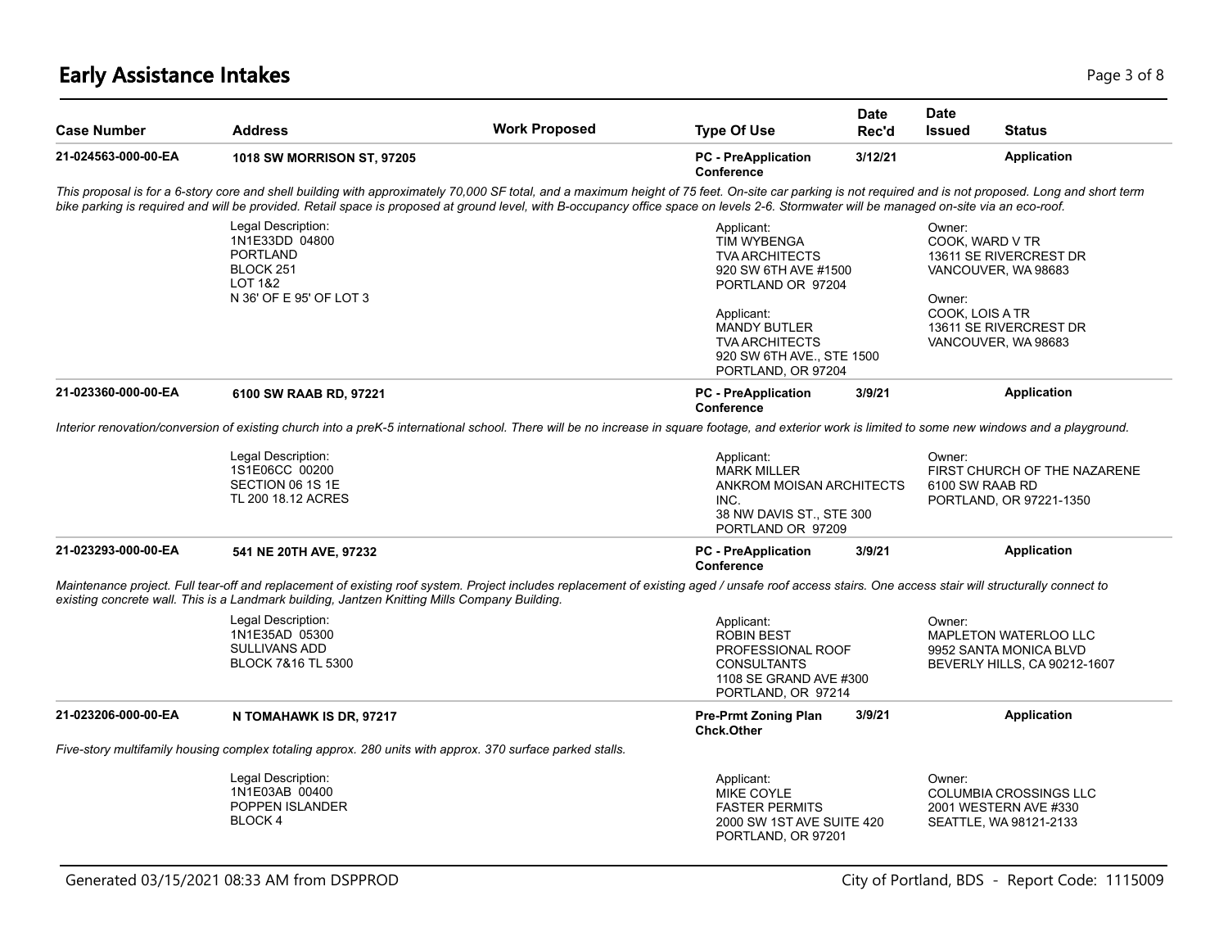# **Early Assistance Intakes** Page 1 of 8 and 2 and 2 and 2 and 2 and 2 and 2 and 2 and 2 and 2 and 2 and 2 and 2 and 2 and 2 and 2 and 2 and 2 and 2 and 2 and 2 and 2 and 2 and 2 and 2 and 2 and 2 and 2 and 2 and 2 and 2 and

| <b>Case Number</b>  | <b>Address</b>                                                                                                        | <b>Work Proposed</b>                                                                                                                                                                                                                                                                                                                                                                                  | <b>Type Of Use</b>                                                                                                                                                                                               | <b>Date</b><br>Rec'd | Date<br><b>Issued</b>                                                                                                                                    | <b>Status</b>                |
|---------------------|-----------------------------------------------------------------------------------------------------------------------|-------------------------------------------------------------------------------------------------------------------------------------------------------------------------------------------------------------------------------------------------------------------------------------------------------------------------------------------------------------------------------------------------------|------------------------------------------------------------------------------------------------------------------------------------------------------------------------------------------------------------------|----------------------|----------------------------------------------------------------------------------------------------------------------------------------------------------|------------------------------|
| 21-024563-000-00-EA | 1018 SW MORRISON ST, 97205                                                                                            |                                                                                                                                                                                                                                                                                                                                                                                                       | <b>PC</b> - PreApplication<br>Conference                                                                                                                                                                         | 3/12/21              |                                                                                                                                                          | <b>Application</b>           |
|                     |                                                                                                                       | This proposal is for a 6-story core and shell building with approximately 70,000 SF total, and a maximum height of 75 feet. On-site car parking is not required and is not proposed. Long and short term<br>bike parking is required and will be provided. Retail space is proposed at ground level, with B-occupancy office space on levels 2-6. Stormwater will be managed on-site via an eco-roof. |                                                                                                                                                                                                                  |                      |                                                                                                                                                          |                              |
|                     | Legal Description:<br>1N1E33DD 04800<br><b>PORTLAND</b><br>BLOCK 251<br><b>LOT 1&amp;2</b><br>N 36' OF E 95' OF LOT 3 |                                                                                                                                                                                                                                                                                                                                                                                                       | Applicant:<br><b>TIM WYBENGA</b><br><b>TVA ARCHITECTS</b><br>920 SW 6TH AVE #1500<br>PORTLAND OR 97204<br>Applicant:<br>MANDY BUTLER<br><b>TVA ARCHITECTS</b><br>920 SW 6TH AVE., STE 1500<br>PORTLAND, OR 97204 |                      | Owner:<br>COOK, WARD V TR<br>13611 SE RIVERCREST DR<br>VANCOUVER, WA 98683<br>Owner:<br>COOK, LOIS A TR<br>13611 SE RIVERCREST DR<br>VANCOUVER, WA 98683 |                              |
| 21-023360-000-00-EA | 6100 SW RAAB RD, 97221                                                                                                |                                                                                                                                                                                                                                                                                                                                                                                                       | <b>PC</b> - PreApplication<br>Conference                                                                                                                                                                         | 3/9/21               |                                                                                                                                                          | <b>Application</b>           |
|                     | Legal Description:<br>1S1E06CC 00200<br>SECTION 06 1S 1E<br>TL 200 18.12 ACRES                                        |                                                                                                                                                                                                                                                                                                                                                                                                       | Applicant:<br><b>MARK MILLER</b><br>ANKROM MOISAN ARCHITECTS<br>INC.<br>38 NW DAVIS ST., STE 300<br>PORTLAND OR 97209                                                                                            |                      | Owner:<br>6100 SW RAAB RD<br>PORTLAND, OR 97221-1350                                                                                                     | FIRST CHURCH OF THE NAZARENE |
| 21-023293-000-00-EA | 541 NE 20TH AVE, 97232                                                                                                |                                                                                                                                                                                                                                                                                                                                                                                                       | <b>PC</b> - PreApplication<br>Conference                                                                                                                                                                         | 3/9/21               |                                                                                                                                                          | <b>Application</b>           |
|                     | existing concrete wall. This is a Landmark building, Jantzen Knitting Mills Company Building.                         | Maintenance project. Full tear-off and replacement of existing roof system. Project includes replacement of existing aged / unsafe roof access stairs. One access stair will structurally connect to                                                                                                                                                                                                  |                                                                                                                                                                                                                  |                      |                                                                                                                                                          |                              |
|                     | Legal Description:<br>1N1E35AD 05300<br><b>SULLIVANS ADD</b><br><b>BLOCK 7&amp;16 TL 5300</b>                         |                                                                                                                                                                                                                                                                                                                                                                                                       | Applicant:<br><b>ROBIN BEST</b><br>PROFESSIONAL ROOF<br><b>CONSULTANTS</b><br>1108 SE GRAND AVE #300<br>PORTLAND, OR 97214                                                                                       |                      | Owner:<br><b>MAPLETON WATERLOO LLC</b><br>9952 SANTA MONICA BLVD                                                                                         | BEVERLY HILLS, CA 90212-1607 |
| 21-023206-000-00-EA | N TOMAHAWK IS DR, 97217                                                                                               |                                                                                                                                                                                                                                                                                                                                                                                                       | <b>Pre-Prmt Zoning Plan</b><br><b>Chck.Other</b>                                                                                                                                                                 | 3/9/21               |                                                                                                                                                          | <b>Application</b>           |
|                     | Five-story multifamily housing complex totaling approx. 280 units with approx. 370 surface parked stalls.             |                                                                                                                                                                                                                                                                                                                                                                                                       |                                                                                                                                                                                                                  |                      |                                                                                                                                                          |                              |
|                     | Legal Description:<br>1N1E03AB 00400<br>POPPEN ISLANDER<br>BLOCK 4                                                    |                                                                                                                                                                                                                                                                                                                                                                                                       | Applicant:<br>MIKE COYLE<br><b>FASTER PERMITS</b><br>2000 SW 1ST AVE SUITE 420<br>PORTLAND, OR 97201                                                                                                             |                      | Owner:<br>COLUMBIA CROSSINGS LLC<br>2001 WESTERN AVE #330<br>SEATTLE, WA 98121-2133                                                                      |                              |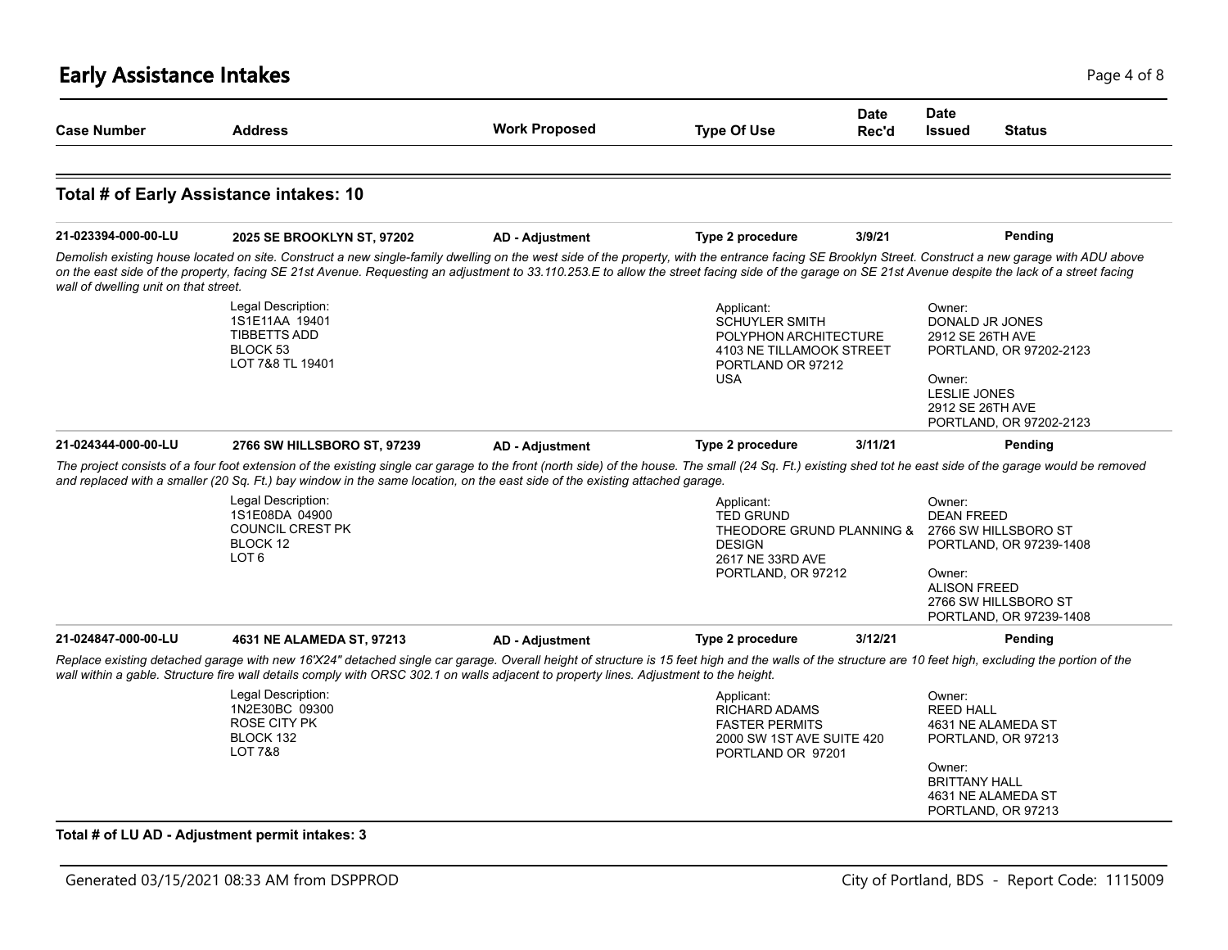| <b>Case Number</b>                    | <b>Address</b>                                                                                                                                                                                                                                                                                                                                                                                                                              | <b>Work Proposed</b>                                                                                                                                                                                    | <b>Type Of Use</b>                                                                                                          | <b>Date</b><br>Rec'd | <b>Date</b><br><b>Issued</b><br><b>Status</b>                                                                                                                      |         |
|---------------------------------------|---------------------------------------------------------------------------------------------------------------------------------------------------------------------------------------------------------------------------------------------------------------------------------------------------------------------------------------------------------------------------------------------------------------------------------------------|---------------------------------------------------------------------------------------------------------------------------------------------------------------------------------------------------------|-----------------------------------------------------------------------------------------------------------------------------|----------------------|--------------------------------------------------------------------------------------------------------------------------------------------------------------------|---------|
|                                       | Total # of Early Assistance intakes: 10                                                                                                                                                                                                                                                                                                                                                                                                     |                                                                                                                                                                                                         |                                                                                                                             |                      |                                                                                                                                                                    |         |
| 21-023394-000-00-LU                   |                                                                                                                                                                                                                                                                                                                                                                                                                                             |                                                                                                                                                                                                         | <b>Type 2 procedure</b>                                                                                                     | 3/9/21               |                                                                                                                                                                    | Pending |
| wall of dwelling unit on that street. | 2025 SE BROOKLYN ST, 97202<br>Demolish existing house located on site. Construct a new single-family dwelling on the west side of the property, with the entrance facing SE Brooklyn Street. Construct a new garage with ADU above<br>on the east side of the property, facing SE 21st Avenue. Requesting an adjustment to 33.110.253.E to allow the street facing side of the garage on SE 21st Avenue despite the lack of a street facing | <b>AD - Adjustment</b>                                                                                                                                                                                  |                                                                                                                             |                      |                                                                                                                                                                    |         |
|                                       | Legal Description:<br>1S1E11AA 19401<br><b>TIBBETTS ADD</b><br>BLOCK <sub>53</sub><br>LOT 7&8 TL 19401                                                                                                                                                                                                                                                                                                                                      |                                                                                                                                                                                                         | Applicant:<br><b>SCHUYLER SMITH</b><br>POLYPHON ARCHITECTURE<br>4103 NE TILLAMOOK STREET<br>PORTLAND OR 97212<br><b>USA</b> |                      | Owner:<br>DONALD JR JONES<br>2912 SE 26TH AVE<br>PORTLAND, OR 97202-2123<br>Owner:<br>LESLIE JONES<br>2912 SE 26TH AVE<br>PORTLAND, OR 97202-2123                  |         |
| 21-024344-000-00-LU                   | 2766 SW HILLSBORO ST, 97239                                                                                                                                                                                                                                                                                                                                                                                                                 | <b>AD - Adjustment</b>                                                                                                                                                                                  | Type 2 procedure                                                                                                            | 3/11/21              |                                                                                                                                                                    | Pending |
|                                       | The project consists of a four foot extension of the existing single car garage to the front (north side) of the house. The small (24 Sq. Ft.) existing shed tot he east side of the garage would be removed<br>and replaced with a smaller (20 Sq. Ft.) bay window in the same location, on the east side of the existing attached garage.                                                                                                 |                                                                                                                                                                                                         |                                                                                                                             |                      |                                                                                                                                                                    |         |
|                                       | Legal Description:<br>1S1E08DA 04900<br><b>COUNCIL CREST PK</b><br>BLOCK 12<br>LOT <sub>6</sub>                                                                                                                                                                                                                                                                                                                                             |                                                                                                                                                                                                         | Applicant:<br><b>TED GRUND</b><br>THEODORE GRUND PLANNING &<br><b>DESIGN</b><br>2617 NE 33RD AVE<br>PORTLAND, OR 97212      |                      | Owner:<br><b>DEAN FREED</b><br>2766 SW HILLSBORO ST<br>PORTLAND, OR 97239-1408<br>Owner:<br><b>ALISON FREED</b><br>2766 SW HILLSBORO ST<br>PORTLAND, OR 97239-1408 |         |
|                                       | 4631 NE ALAMEDA ST, 97213                                                                                                                                                                                                                                                                                                                                                                                                                   | <b>AD - Adjustment</b>                                                                                                                                                                                  | Type 2 procedure                                                                                                            | 3/12/21              |                                                                                                                                                                    | Pending |
|                                       |                                                                                                                                                                                                                                                                                                                                                                                                                                             | Replace existing detached garage with new 16'X24" detached single car garage. Overall height of structure is 15 feet high and the walls of the structure are 10 feet high, excluding the portion of the |                                                                                                                             |                      |                                                                                                                                                                    |         |
|                                       | wall within a gable. Structure fire wall details comply with ORSC 302.1 on walls adjacent to property lines. Adjustment to the height.                                                                                                                                                                                                                                                                                                      |                                                                                                                                                                                                         |                                                                                                                             |                      | Owner:                                                                                                                                                             |         |
| 21-024847-000-00-LU                   | Legal Description:<br>1N2E30BC 09300<br><b>ROSE CITY PK</b><br>BLOCK 132<br><b>LOT 7&amp;8</b>                                                                                                                                                                                                                                                                                                                                              |                                                                                                                                                                                                         | Applicant:<br><b>RICHARD ADAMS</b><br><b>FASTER PERMITS</b><br>2000 SW 1ST AVE SUITE 420<br>PORTLAND OR 97201               |                      | <b>REED HALL</b><br>4631 NE ALAMEDA ST<br>PORTLAND, OR 97213                                                                                                       |         |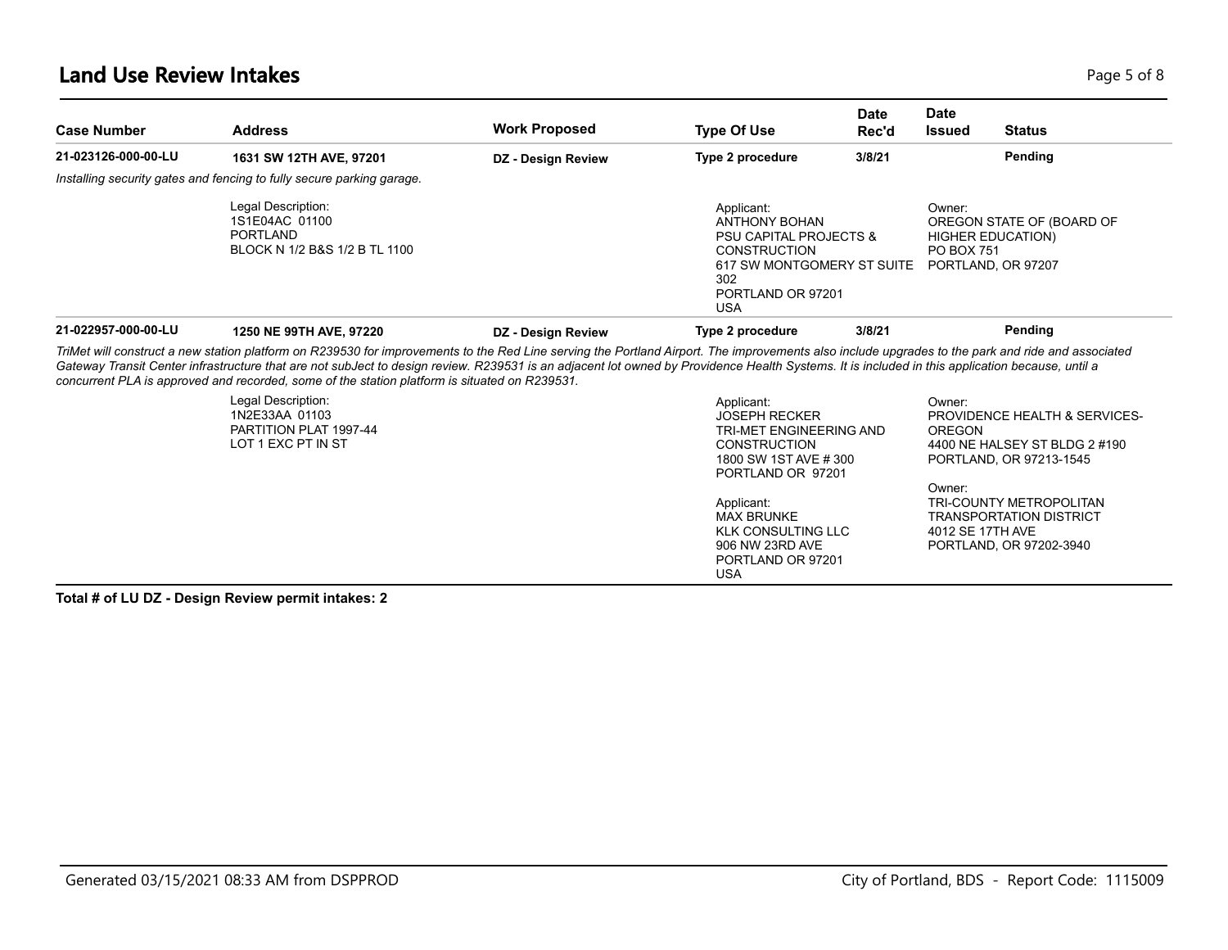#### **Land Use Review Intakes** Page 1 of 8

| 21-023126-000-00-LU |                                                                                                                                                                                                                                                                                                                                                                                                                                                                                                       | <b>Work Proposed</b> | <b>Type Of Use</b>                                                                                                                                                     | Rec'd  | Issued                      | <b>Status</b>                                                                                                                                          |
|---------------------|-------------------------------------------------------------------------------------------------------------------------------------------------------------------------------------------------------------------------------------------------------------------------------------------------------------------------------------------------------------------------------------------------------------------------------------------------------------------------------------------------------|----------------------|------------------------------------------------------------------------------------------------------------------------------------------------------------------------|--------|-----------------------------|--------------------------------------------------------------------------------------------------------------------------------------------------------|
|                     | 1631 SW 12TH AVE, 97201                                                                                                                                                                                                                                                                                                                                                                                                                                                                               | DZ - Design Review   | Type 2 procedure                                                                                                                                                       | 3/8/21 |                             | Pending                                                                                                                                                |
|                     | Installing security gates and fencing to fully secure parking garage.                                                                                                                                                                                                                                                                                                                                                                                                                                 |                      |                                                                                                                                                                        |        |                             |                                                                                                                                                        |
|                     | Legal Description:<br>1S1E04AC 01100<br>PORTLAND<br>BLOCK N 1/2 B&S 1/2 B TL 1100                                                                                                                                                                                                                                                                                                                                                                                                                     |                      | Applicant:<br><b>ANTHONY BOHAN</b><br><b>PSU CAPITAL PROJECTS &amp;</b><br><b>CONSTRUCTION</b><br>617 SW MONTGOMERY ST SUITE<br>302<br>PORTLAND OR 97201<br><b>USA</b> |        | Owner:<br><b>PO BOX 751</b> | OREGON STATE OF (BOARD OF<br><b>HIGHER EDUCATION)</b><br>PORTLAND, OR 97207                                                                            |
| 21-022957-000-00-LU | 1250 NE 99TH AVE, 97220                                                                                                                                                                                                                                                                                                                                                                                                                                                                               | DZ - Design Review   | Type 2 procedure                                                                                                                                                       | 3/8/21 |                             | Pending                                                                                                                                                |
|                     | TriMet will construct a new station platform on R239530 for improvements to the Red Line serving the Portland Airport. The improvements also include upgrades to the park and ride and associated<br>Gateway Transit Center infrastructure that are not subJect to design review. R239531 is an adjacent lot owned by Providence Health Systems. It is included in this application because, until a<br>concurrent PLA is approved and recorded, some of the station platform is situated on R239531. |                      |                                                                                                                                                                        |        |                             |                                                                                                                                                        |
|                     | Legal Description:<br>1N2E33AA 01103<br>PARTITION PLAT 1997-44<br>LOT 1 EXC PT IN ST                                                                                                                                                                                                                                                                                                                                                                                                                  |                      | Applicant:<br><b>JOSEPH RECKER</b><br>TRI-MET ENGINEERING AND<br><b>CONSTRUCTION</b><br>1800 SW 1ST AVE # 300<br>PORTLAND OR 97201<br>Applicant:<br><b>MAX BRUNKE</b>  |        | Owner:<br>OREGON<br>Owner:  | PROVIDENCE HEALTH & SERVICES-<br>4400 NE HALSEY ST BLDG 2 #190<br>PORTLAND, OR 97213-1545<br>TRI-COUNTY METROPOLITAN<br><b>TRANSPORTATION DISTRICT</b> |

KLK CONSULTING LLC 906 NW 23RD AVE PORTLAND OR 97201

USA

**Total # of LU DZ - Design Review permit intakes: 2**

PORTLAND, OR 97202-3940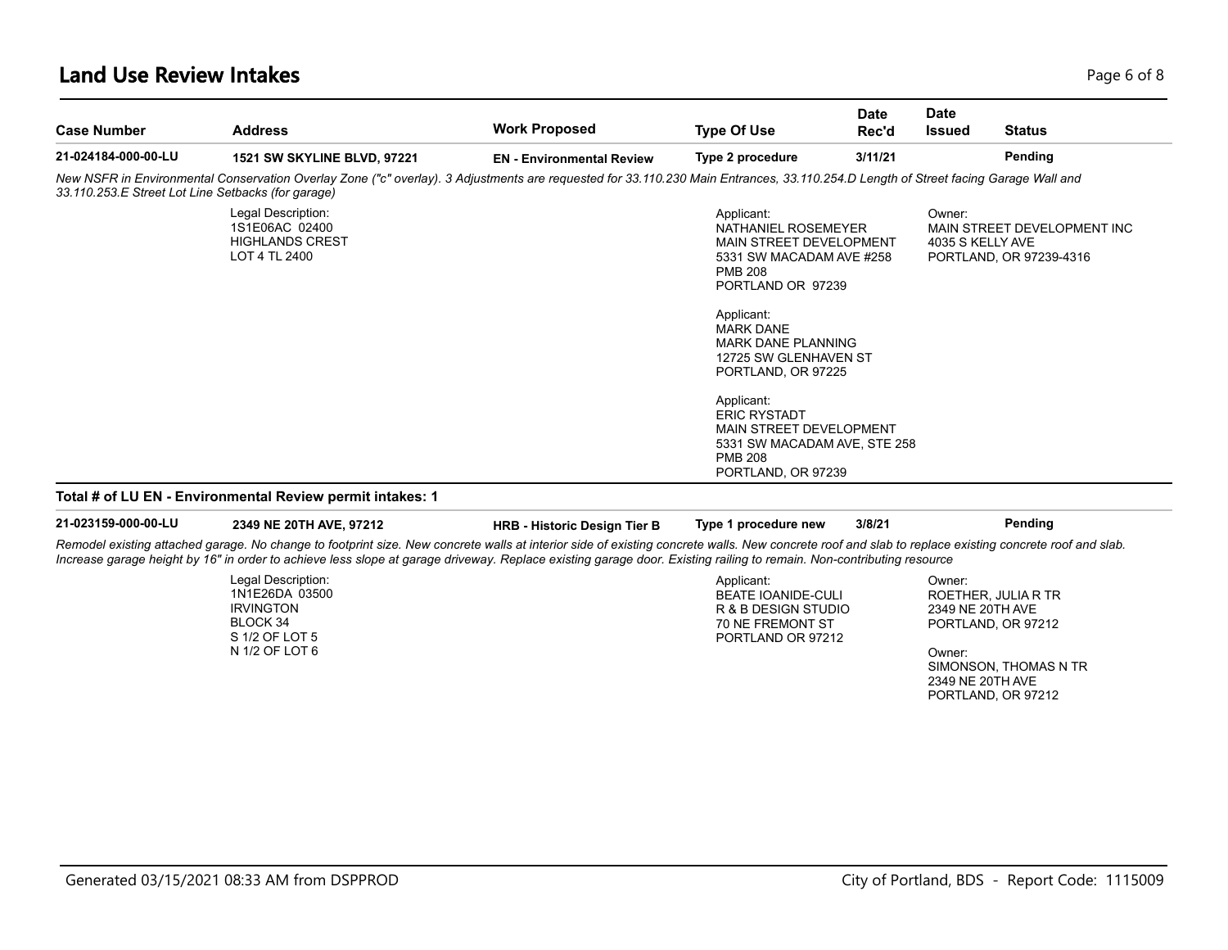### **Land Use Review Intakes** Page 6 of 8

| <b>Case Number</b>                                 | <b>Address</b>                                                                                                                                                                                                                                                                                                                                                                | <b>Work Proposed</b>                | <b>Type Of Use</b>                                                                                                                                                                                                                            | <b>Date</b><br>Rec'd | <b>Date</b><br><b>Issued</b>                             | <b>Status</b>                                                                            |
|----------------------------------------------------|-------------------------------------------------------------------------------------------------------------------------------------------------------------------------------------------------------------------------------------------------------------------------------------------------------------------------------------------------------------------------------|-------------------------------------|-----------------------------------------------------------------------------------------------------------------------------------------------------------------------------------------------------------------------------------------------|----------------------|----------------------------------------------------------|------------------------------------------------------------------------------------------|
| 21-024184-000-00-LU                                | <b>1521 SW SKYLINE BLVD, 97221</b>                                                                                                                                                                                                                                                                                                                                            | <b>EN</b> - Environmental Review    | Type 2 procedure                                                                                                                                                                                                                              | 3/11/21              |                                                          | Pending                                                                                  |
| 33.110.253.E Street Lot Line Setbacks (for garage) | New NSFR in Environmental Conservation Overlay Zone ("c" overlay). 3 Adjustments are requested for 33.110.230 Main Entrances, 33.110.254.D Length of Street facing Garage Wall and                                                                                                                                                                                            |                                     |                                                                                                                                                                                                                                               |                      |                                                          |                                                                                          |
|                                                    | Legal Description:<br>1S1E06AC 02400<br><b>HIGHLANDS CREST</b><br>LOT 4 TL 2400                                                                                                                                                                                                                                                                                               |                                     | Applicant:<br>NATHANIEL ROSEMEYER<br>MAIN STREET DEVELOPMENT<br>5331 SW MACADAM AVE #258<br><b>PMB 208</b><br>PORTLAND OR 97239<br>Applicant:<br><b>MARK DANE</b><br><b>MARK DANE PLANNING</b><br>12725 SW GLENHAVEN ST<br>PORTLAND, OR 97225 |                      | Owner:<br>4035 S KELLY AVE                               | MAIN STREET DEVELOPMENT INC<br>PORTLAND, OR 97239-4316                                   |
|                                                    |                                                                                                                                                                                                                                                                                                                                                                               |                                     | Applicant:<br><b>ERIC RYSTADT</b><br>MAIN STREET DEVELOPMENT<br>5331 SW MACADAM AVE, STE 258<br><b>PMB 208</b><br>PORTLAND, OR 97239                                                                                                          |                      |                                                          |                                                                                          |
|                                                    | Total # of LU EN - Environmental Review permit intakes: 1                                                                                                                                                                                                                                                                                                                     |                                     |                                                                                                                                                                                                                                               |                      |                                                          |                                                                                          |
| 21-023159-000-00-LU                                | 2349 NE 20TH AVE, 97212                                                                                                                                                                                                                                                                                                                                                       | <b>HRB - Historic Design Tier B</b> | Type 1 procedure new                                                                                                                                                                                                                          | 3/8/21               |                                                          | Pending                                                                                  |
|                                                    | Remodel existing attached garage. No change to footprint size. New concrete walls at interior side of existing concrete walls. New concrete roof and slab to replace existing concrete roof and slab.<br>Increase garage height by 16" in order to achieve less slope at garage driveway. Replace existing garage door. Existing railing to remain. Non-contributing resource |                                     |                                                                                                                                                                                                                                               |                      |                                                          |                                                                                          |
|                                                    | Legal Description:<br>1N1E26DA 03500<br><b>IRVINGTON</b><br>BLOCK 34<br>S 1/2 OF LOT 5<br>N 1/2 OF LOT 6                                                                                                                                                                                                                                                                      |                                     | Applicant:<br><b>BEATE IOANIDE-CULI</b><br>R & B DESIGN STUDIO<br>70 NE FREMONT ST<br>PORTLAND OR 97212                                                                                                                                       |                      | Owner:<br>2349 NE 20TH AVE<br>Owner:<br>2349 NE 20TH AVE | ROETHER, JULIA R TR<br>PORTLAND, OR 97212<br>SIMONSON, THOMAS N TR<br>PORTLAND, OR 97212 |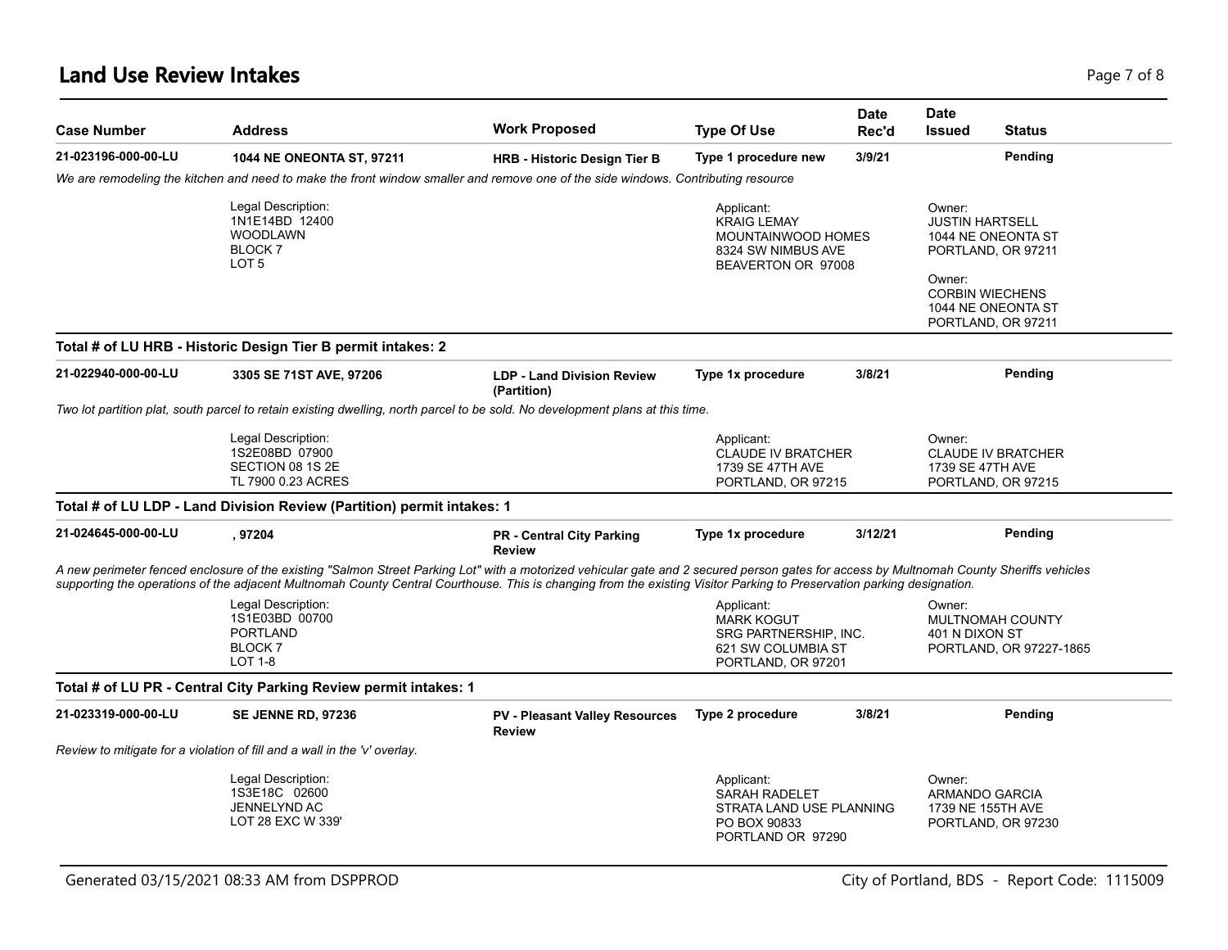### **Land Use Review Intakes** Page 7 of 8

| <b>Case Number</b>  | <b>Address</b>                                                                                                                                                                                                                                                                                                                                                     | <b>Work Proposed</b>                                   | <b>Type Of Use</b>                                                                                        | <b>Date</b><br>Rec'd | Date<br><b>Issued</b><br><b>Status</b>                                                                                                                       |
|---------------------|--------------------------------------------------------------------------------------------------------------------------------------------------------------------------------------------------------------------------------------------------------------------------------------------------------------------------------------------------------------------|--------------------------------------------------------|-----------------------------------------------------------------------------------------------------------|----------------------|--------------------------------------------------------------------------------------------------------------------------------------------------------------|
| 21-023196-000-00-LU | <b>1044 NE ONEONTA ST, 97211</b>                                                                                                                                                                                                                                                                                                                                   | <b>HRB - Historic Design Tier B</b>                    | Type 1 procedure new                                                                                      | 3/9/21               | Pending                                                                                                                                                      |
|                     | We are remodeling the kitchen and need to make the front window smaller and remove one of the side windows. Contributing resource                                                                                                                                                                                                                                  |                                                        |                                                                                                           |                      |                                                                                                                                                              |
|                     | Legal Description:<br>1N1E14BD 12400<br><b>WOODLAWN</b><br>BLOCK <sub>7</sub><br>LOT <sub>5</sub>                                                                                                                                                                                                                                                                  |                                                        | Applicant:<br><b>KRAIG LEMAY</b><br><b>MOUNTAINWOOD HOMES</b><br>8324 SW NIMBUS AVE<br>BEAVERTON OR 97008 |                      | Owner:<br><b>JUSTIN HARTSELL</b><br>1044 NE ONEONTA ST<br>PORTLAND, OR 97211<br>Owner:<br><b>CORBIN WIECHENS</b><br>1044 NE ONEONTA ST<br>PORTLAND, OR 97211 |
|                     | Total # of LU HRB - Historic Design Tier B permit intakes: 2                                                                                                                                                                                                                                                                                                       |                                                        |                                                                                                           |                      |                                                                                                                                                              |
| 21-022940-000-00-LU | 3305 SE 71ST AVE, 97206                                                                                                                                                                                                                                                                                                                                            | <b>LDP - Land Division Review</b><br>(Partition)       | Type 1x procedure                                                                                         | 3/8/21               | Pending                                                                                                                                                      |
|                     | Two lot partition plat, south parcel to retain existing dwelling, north parcel to be sold. No development plans at this time.                                                                                                                                                                                                                                      |                                                        |                                                                                                           |                      |                                                                                                                                                              |
|                     | Legal Description:<br>1S2E08BD 07900<br>SECTION 08 1S 2E<br>TL 7900 0.23 ACRES                                                                                                                                                                                                                                                                                     |                                                        | Applicant:<br><b>CLAUDE IV BRATCHER</b><br>1739 SE 47TH AVE<br>PORTLAND, OR 97215                         |                      | Owner:<br><b>CLAUDE IV BRATCHER</b><br>1739 SE 47TH AVE<br>PORTLAND, OR 97215                                                                                |
|                     | Total # of LU LDP - Land Division Review (Partition) permit intakes: 1                                                                                                                                                                                                                                                                                             |                                                        |                                                                                                           |                      |                                                                                                                                                              |
| 21-024645-000-00-LU | , 97204                                                                                                                                                                                                                                                                                                                                                            | <b>PR - Central City Parking</b><br><b>Review</b>      | Type 1x procedure                                                                                         | 3/12/21              | Pending                                                                                                                                                      |
|                     | A new perimeter fenced enclosure of the existing "Salmon Street Parking Lot" with a motorized vehicular gate and 2 secured person gates for access by Multnomah County Sheriffs vehicles<br>supporting the operations of the adjacent Multnomah County Central Courthouse. This is changing from the existing Visitor Parking to Preservation parking designation. |                                                        |                                                                                                           |                      |                                                                                                                                                              |
|                     | Legal Description:<br>1S1E03BD 00700<br><b>PORTLAND</b><br><b>BLOCK 7</b><br><b>LOT 1-8</b>                                                                                                                                                                                                                                                                        |                                                        | Applicant:<br><b>MARK KOGUT</b><br>SRG PARTNERSHIP, INC.<br>621 SW COLUMBIA ST<br>PORTLAND, OR 97201      |                      | Owner:<br><b>MULTNOMAH COUNTY</b><br>401 N DIXON ST<br>PORTLAND, OR 97227-1865                                                                               |
|                     | Total # of LU PR - Central City Parking Review permit intakes: 1                                                                                                                                                                                                                                                                                                   |                                                        |                                                                                                           |                      |                                                                                                                                                              |
| 21-023319-000-00-LU | <b>SE JENNE RD, 97236</b>                                                                                                                                                                                                                                                                                                                                          | <b>PV - Pleasant Valley Resources</b><br><b>Review</b> | Type 2 procedure                                                                                          | 3/8/21               | Pending                                                                                                                                                      |
|                     | Review to mitigate for a violation of fill and a wall in the 'v' overlay.                                                                                                                                                                                                                                                                                          |                                                        |                                                                                                           |                      |                                                                                                                                                              |
|                     | Legal Description:<br>1S3E18C 02600<br>JENNELYND AC<br>LOT 28 EXC W 339'                                                                                                                                                                                                                                                                                           |                                                        | Applicant:<br><b>SARAH RADELET</b><br>STRATA LAND USE PLANNING<br>PO BOX 90833<br>PORTLAND OR 97290       |                      | Owner:<br>ARMANDO GARCIA<br>1739 NE 155TH AVE<br>PORTLAND, OR 97230                                                                                          |